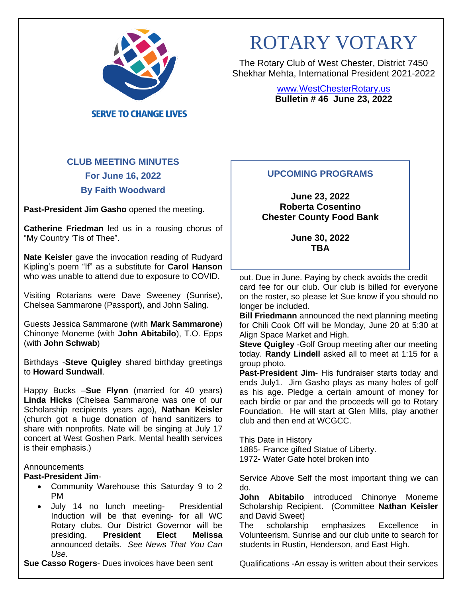

**SERVE TO CHANGE LIVES** 

# ROTARY VOTARY

The Rotary Club of West Chester, District 7450 Shekhar Mehta, International President 2021-2022

> [www.WestChesterRotary.us](http://www.westchesterrotary.us/) **Bulletin # 46 June 23, 2022**

# **CLUB MEETING MINUTES For June 16, 2022 By Faith Woodward**

**Past-President Jim Gasho** opened the meeting.

**Catherine Friedman** led us in a rousing chorus of "My Country 'Tis of Thee".

**Nate Keisler** gave the invocation reading of Rudyard Kipling's poem "If" as a substitute for **Carol Hanson** who was unable to attend due to exposure to COVID.

Visiting Rotarians were Dave Sweeney (Sunrise), Chelsea Sammarone (Passport), and John Saling.

Guests Jessica Sammarone (with **Mark Sammarone**) Chinonye Moneme (with **John Abitabilo**), T.O. Epps (with **John Schwab**)

Birthdays -**Steve Quigley** shared birthday greetings to **Howard Sundwall**.

Happy Bucks –**Sue Flynn** (married for 40 years) **Linda Hicks** (Chelsea Sammarone was one of our Scholarship recipients years ago), **Nathan Keisler** (church got a huge donation of hand sanitizers to share with nonprofits. Nate will be singing at July 17 concert at West Goshen Park. Mental health services is their emphasis.)

#### **Announcements**

# **Past-President Jim**-

- Community Warehouse this Saturday 9 to 2 PM
- July 14 no lunch meeting- Presidential Induction will be that evening- for all WC Rotary clubs. Our District Governor will be<br>presiding. President Elect Melissa **presiding. President** announced details. *See News That You Can Use.*

**Sue Casso Rogers**- Dues invoices have been sent

# **UPCOMING PROGRAMS**

**June 23, 2022 Roberta Cosentino Chester County Food Bank**

> **June 30, 2022 TBA**

out. Due in June. Paying by check avoids the credit card fee for our club. Our club is billed for everyone on the roster, so please let Sue know if you should no longer be included.

**Bill Friedmann** announced the next planning meeting for Chili Cook Off will be Monday, June 20 at 5:30 at Align Space Market and High.

**Steve Quigley** -Golf Group meeting after our meeting today. **Randy Lindell** asked all to meet at 1:15 for a group photo.

**Past-President Jim**- His fundraiser starts today and ends July1. Jim Gasho plays as many holes of golf as his age. Pledge a certain amount of money for each birdie or par and the proceeds will go to Rotary Foundation. He will start at Glen Mills, play another club and then end at WCGCC.

This Date in History 1885- France gifted Statue of Liberty. 1972- Water Gate hotel broken into

Service Above Self the most important thing we can do.

**John Abitabilo** introduced Chinonye Moneme Scholarship Recipient. (Committee **Nathan Keisler** and David Sweet)

The scholarship emphasizes Excellence in Volunteerism. Sunrise and our club unite to search for students in Rustin, Henderson, and East High.

Qualifications -An essay is written about their services